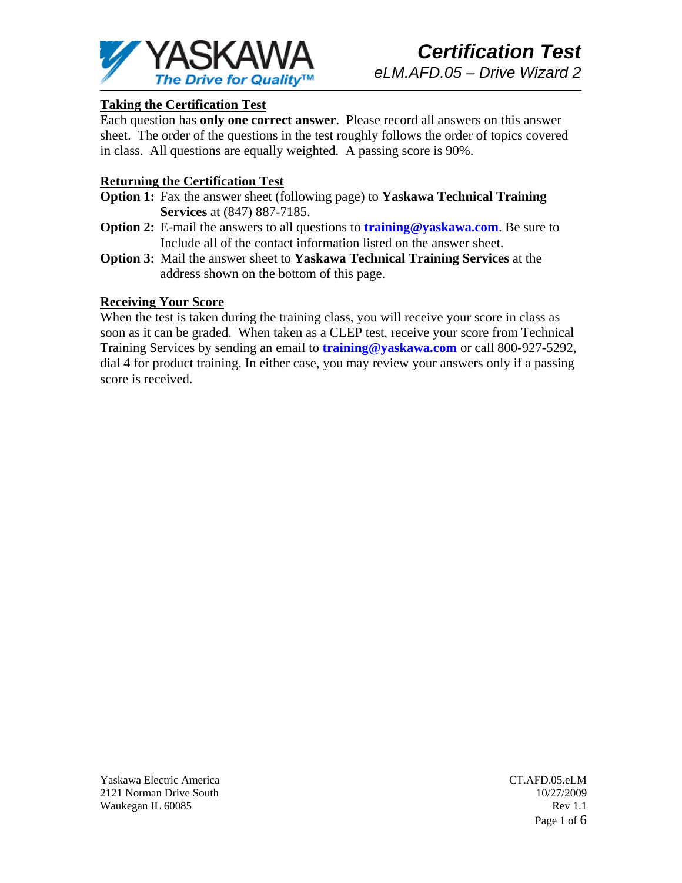

# **Taking the Certification Test**

Each question has **only one correct answer**. Please record all answers on this answer sheet. The order of the questions in the test roughly follows the order of topics covered in class. All questions are equally weighted. A passing score is 90%.

# **Returning the Certification Test**

- **Option 1:** Fax the answer sheet (following page) to **Yaskawa Technical Training Services** at (847) 887-7185.
- **Option 2:** E-mail the answers to all questions to **training@yaskawa.com**. Be sure to Include all of the contact information listed on the answer sheet.
- **Option 3:** Mail the answer sheet to **Yaskawa Technical Training Services** at the address shown on the bottom of this page.

### **Receiving Your Score**

When the test is taken during the training class, you will receive your score in class as soon as it can be graded. When taken as a CLEP test, receive your score from Technical Training Services by sending an email to **training@yaskawa.com** or call 800-927-5292, dial 4 for product training. In either case, you may review your answers only if a passing score is received.

Yaskawa Electric America 2121 Norman Drive South Waukegan IL 60085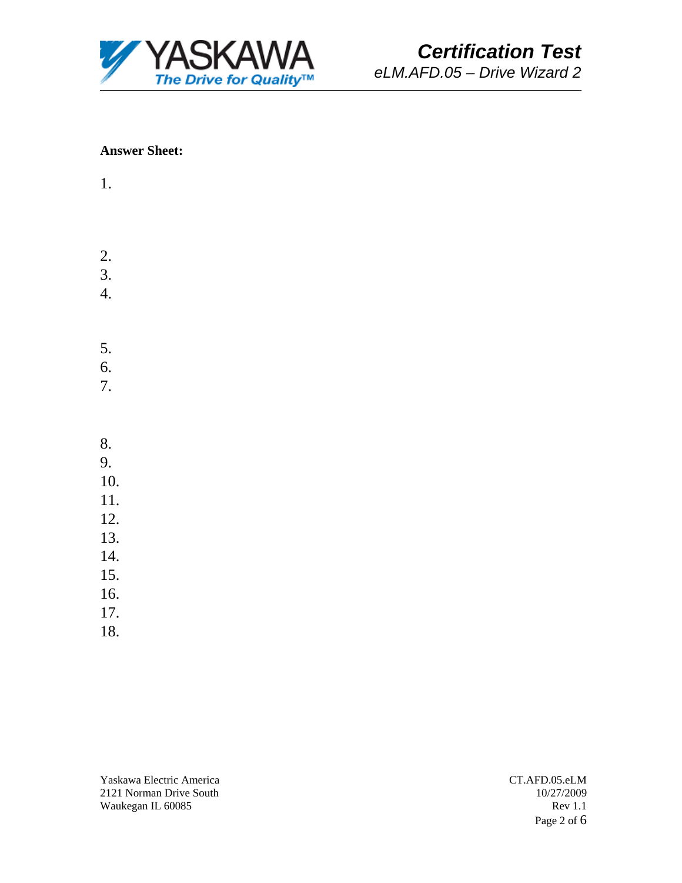

#### **Answer Sheet:**

- 1.
- 2.
- 3.
- 4.
- 5.
- 6.
- 7.
- 8.
- 9.
- 10.
- 11.
- 12.
- 13.
- 14.
- 15.
- 16.
- 17.
- 18.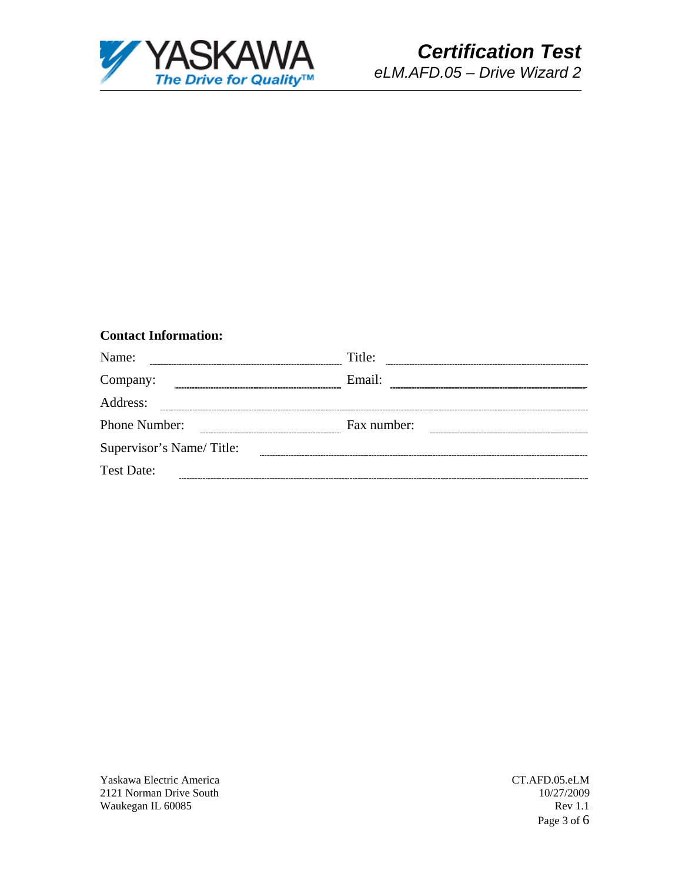

# **Contact Information:**

| Name:                    | Title:      |  |
|--------------------------|-------------|--|
| Company:                 | Email:      |  |
| Address:                 |             |  |
| Phone Number:            | Fax number: |  |
| Supervisor's Name/Title: |             |  |
| <b>Test Date:</b>        |             |  |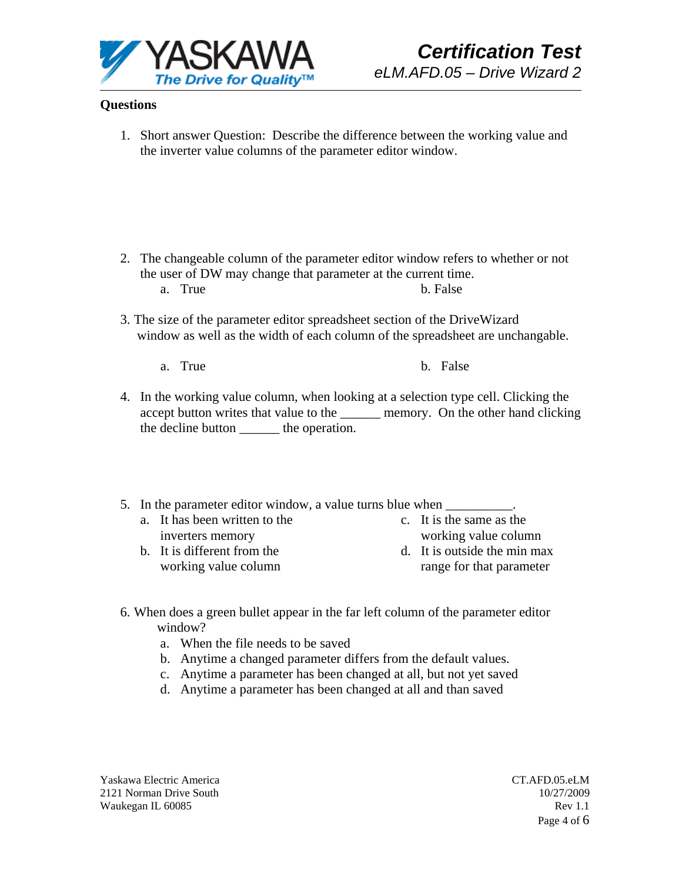

# **Questions**

1. Short answer Question: Describe the difference between the working value and the inverter value columns of the parameter editor window.

- 2. The changeable column of the parameter editor window refers to whether or not the user of DW may change that parameter at the current time. a. True b. False
- 3. The size of the parameter editor spreadsheet section of the DriveWizard window as well as the width of each column of the spreadsheet are unchangable.
	- a. True b. False
- 4. In the working value column, when looking at a selection type cell. Clicking the accept button writes that value to the memory. On the other hand clicking the decline button \_\_\_\_\_\_ the operation.
- 5. In the parameter editor window, a value turns blue when  $\blacksquare$ 
	- a. It has been written to the inverters memory
	- b. It is different from the working value column
- c. It is the same as the working value column
- d. It is outside the min max range for that parameter
- 6. When does a green bullet appear in the far left column of the parameter editor window?
	- a. When the file needs to be saved
	- b. Anytime a changed parameter differs from the default values.
	- c. Anytime a parameter has been changed at all, but not yet saved
	- d. Anytime a parameter has been changed at all and than saved

Yaskawa Electric America 2121 Norman Drive South Waukegan IL 60085

 CT.AFD.05.eLM 10/27/2009 Rev 1.1 Page 4 of 6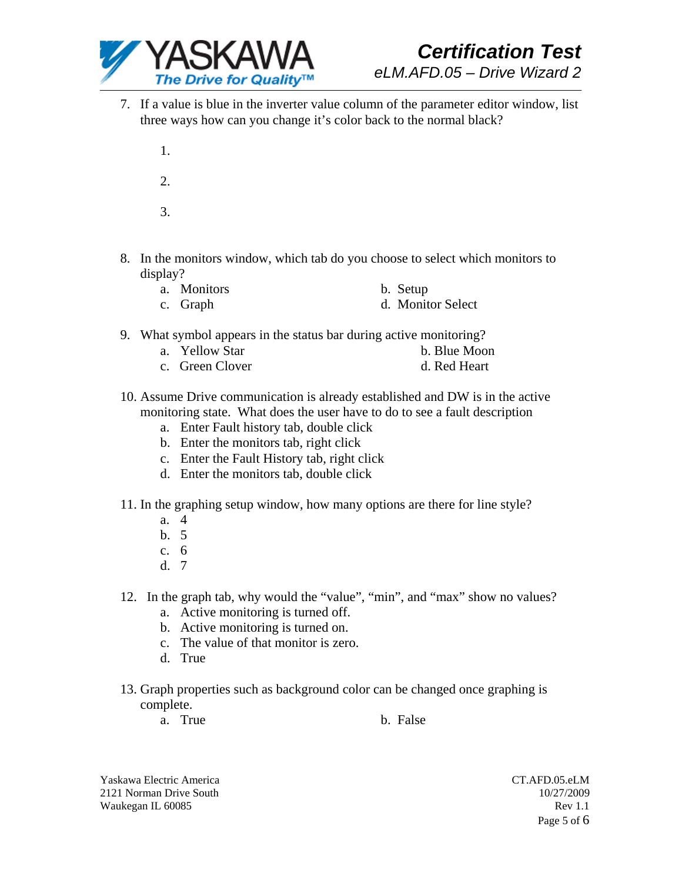

- 7. If a value is blue in the inverter value column of the parameter editor window, list three ways how can you change it's color back to the normal black?
	- 1. 2. 3.
- 8. In the monitors window, which tab do you choose to select which monitors to display?
	- a. Monitors b. Setup c. Graph d. Monitor Select
- 9. What symbol appears in the status bar during active monitoring?
	- a. Yellow Star b. Blue Moon
	- c. Green Clover d. Red Heart
- 10. Assume Drive communication is already established and DW is in the active monitoring state. What does the user have to do to see a fault description
	- a. Enter Fault history tab, double click
	- b. Enter the monitors tab, right click
	- c. Enter the Fault History tab, right click
	- d. Enter the monitors tab, double click
- 11. In the graphing setup window, how many options are there for line style?
	- a. 4
	- b. 5
	- c. 6
	- d. 7
- 12. In the graph tab, why would the "value", "min", and "max" show no values?
	- a. Active monitoring is turned off.
	- b. Active monitoring is turned on.
	- c. The value of that monitor is zero.
	- d. True
- 13. Graph properties such as background color can be changed once graphing is complete.
	- a. True b. False

Yaskawa Electric America 2121 Norman Drive South Waukegan IL 60085

 CT.AFD.05.eLM 10/27/2009 Rev 1.1 Page 5 of 6